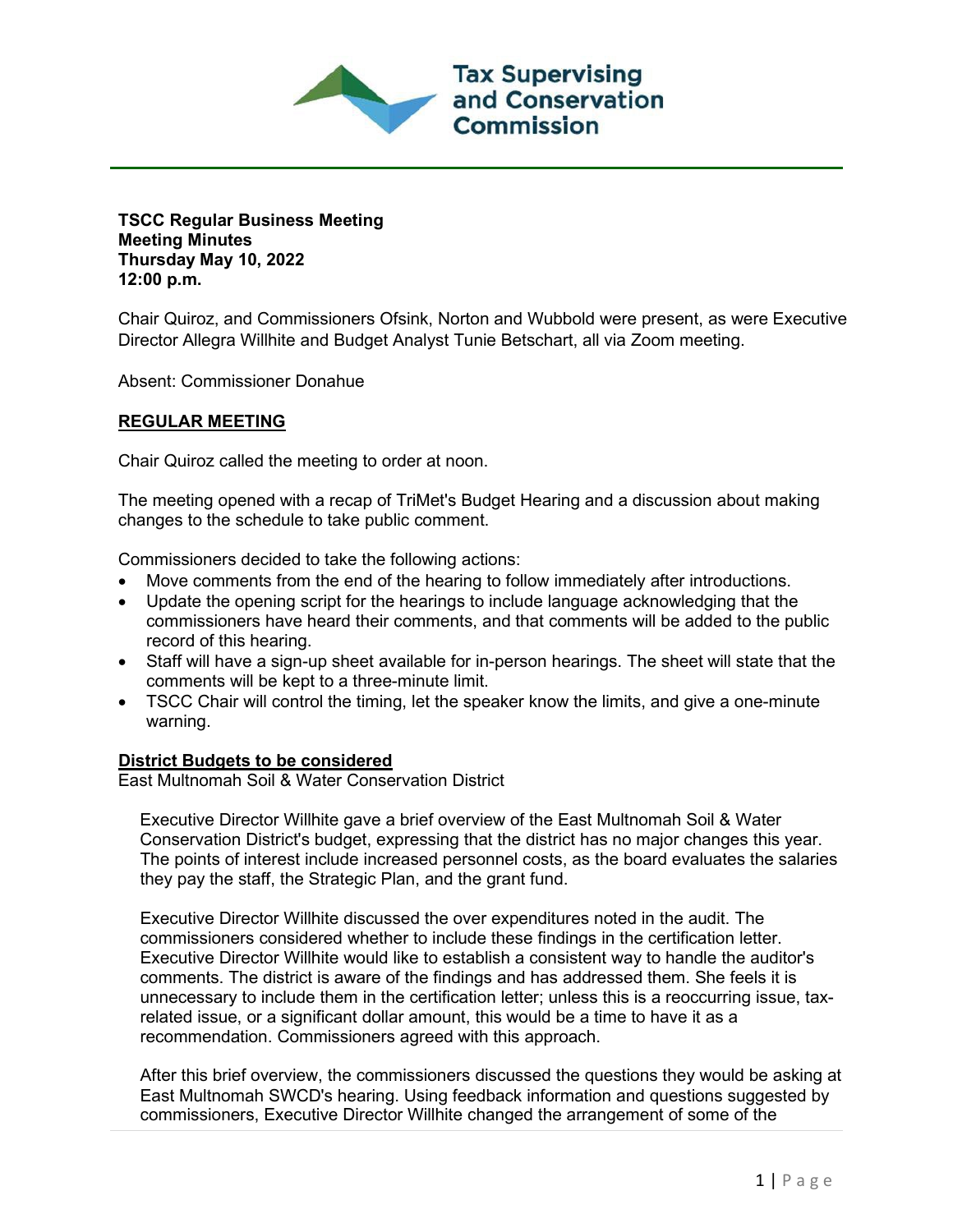

**TSCC Regular Business Meeting Meeting Minutes Thursday May 10, 2022 12:00 p.m.**

Chair Quiroz, and Commissioners Ofsink, Norton and Wubbold were present, as were Executive Director Allegra Willhite and Budget Analyst Tunie Betschart, all via Zoom meeting.

Absent: Commissioner Donahue

# **REGULAR MEETING**

Chair Quiroz called the meeting to order at noon.

The meeting opened with a recap of TriMet's Budget Hearing and a discussion about making changes to the schedule to take public comment.

Commissioners decided to take the following actions:

- Move comments from the end of the hearing to follow immediately after introductions.
- Update the opening script for the hearings to include language acknowledging that the commissioners have heard their comments, and that comments will be added to the public record of this hearing.
- Staff will have a sign-up sheet available for in-person hearings. The sheet will state that the comments will be kept to a three-minute limit.
- TSCC Chair will control the timing, let the speaker know the limits, and give a one-minute warning.

# **District Budgets to be considered**

East Multnomah Soil & Water Conservation District

Executive Director Willhite gave a brief overview of the East Multnomah Soil & Water Conservation District's budget, expressing that the district has no major changes this year. The points of interest include increased personnel costs, as the board evaluates the salaries they pay the staff, the Strategic Plan, and the grant fund.

Executive Director Willhite discussed the over expenditures noted in the audit. The commissioners considered whether to include these findings in the certification letter. Executive Director Willhite would like to establish a consistent way to handle the auditor's comments. The district is aware of the findings and has addressed them. She feels it is unnecessary to include them in the certification letter; unless this is a reoccurring issue, taxrelated issue, or a significant dollar amount, this would be a time to have it as a recommendation. Commissioners agreed with this approach.

After this brief overview, the commissioners discussed the questions they would be asking at East Multnomah SWCD's hearing. Using feedback information and questions suggested by commissioners, Executive Director Willhite changed the arrangement of some of the